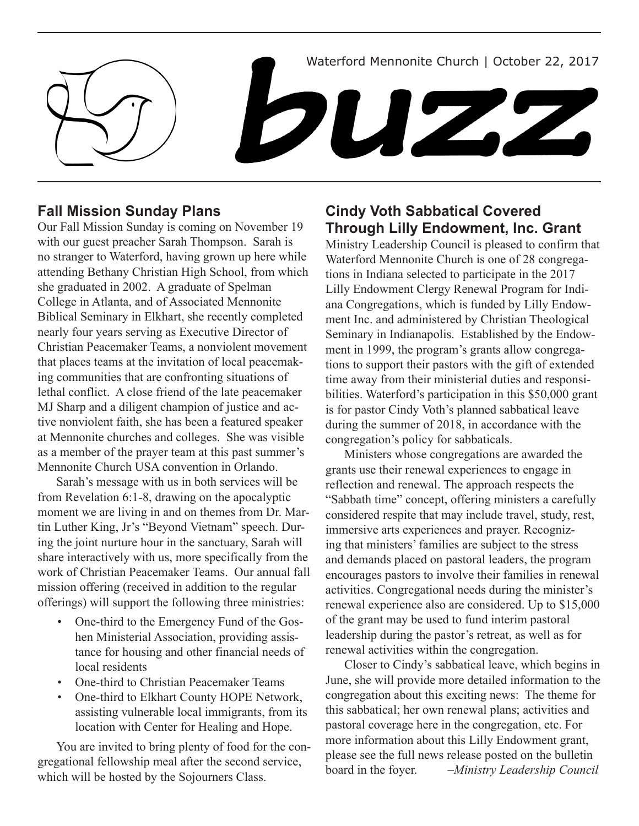Waterford Mennonite Church | October 22, 2017

DUZ2

# **Fall Mission Sunday Plans**

Our Fall Mission Sunday is coming on November 19 with our guest preacher Sarah Thompson. Sarah is no stranger to Waterford, having grown up here while attending Bethany Christian High School, from which she graduated in 2002. A graduate of Spelman College in Atlanta, and of Associated Mennonite Biblical Seminary in Elkhart, she recently completed nearly four years serving as Executive Director of Christian Peacemaker Teams, a nonviolent movement that places teams at the invitation of local peacemaking communities that are confronting situations of lethal conflict. A close friend of the late peacemaker MJ Sharp and a diligent champion of justice and active nonviolent faith, she has been a featured speaker at Mennonite churches and colleges. She was visible as a member of the prayer team at this past summer's Mennonite Church USA convention in Orlando.

Sarah's message with us in both services will be from Revelation 6:1-8, drawing on the apocalyptic moment we are living in and on themes from Dr. Martin Luther King, Jr's "Beyond Vietnam" speech. During the joint nurture hour in the sanctuary, Sarah will share interactively with us, more specifically from the work of Christian Peacemaker Teams. Our annual fall mission offering (received in addition to the regular offerings) will support the following three ministries:

- One-third to the Emergency Fund of the Goshen Ministerial Association, providing assistance for housing and other financial needs of local residents
- One-third to Christian Peacemaker Teams
- One-third to Elkhart County HOPE Network, assisting vulnerable local immigrants, from its location with Center for Healing and Hope.

You are invited to bring plenty of food for the congregational fellowship meal after the second service, which will be hosted by the Sojourners Class.

# **Cindy Voth Sabbatical Covered Through Lilly Endowment, Inc. Grant**

Ministry Leadership Council is pleased to confirm that Waterford Mennonite Church is one of 28 congregations in Indiana selected to participate in the 2017 Lilly Endowment Clergy Renewal Program for Indiana Congregations, which is funded by Lilly Endowment Inc. and administered by Christian Theological Seminary in Indianapolis. Established by the Endowment in 1999, the program's grants allow congregations to support their pastors with the gift of extended time away from their ministerial duties and responsibilities. Waterford's participation in this \$50,000 grant is for pastor Cindy Voth's planned sabbatical leave during the summer of 2018, in accordance with the congregation's policy for sabbaticals.

Ministers whose congregations are awarded the grants use their renewal experiences to engage in reflection and renewal. The approach respects the "Sabbath time" concept, offering ministers a carefully considered respite that may include travel, study, rest, immersive arts experiences and prayer. Recognizing that ministers' families are subject to the stress and demands placed on pastoral leaders, the program encourages pastors to involve their families in renewal activities. Congregational needs during the minister's renewal experience also are considered. Up to \$15,000 of the grant may be used to fund interim pastoral leadership during the pastor's retreat, as well as for renewal activities within the congregation.

Closer to Cindy's sabbatical leave, which begins in June, she will provide more detailed information to the congregation about this exciting news: The theme for this sabbatical; her own renewal plans; activities and pastoral coverage here in the congregation, etc. For more information about this Lilly Endowment grant, please see the full news release posted on the bulletin board in the foyer. *–Ministry Leadership Council*